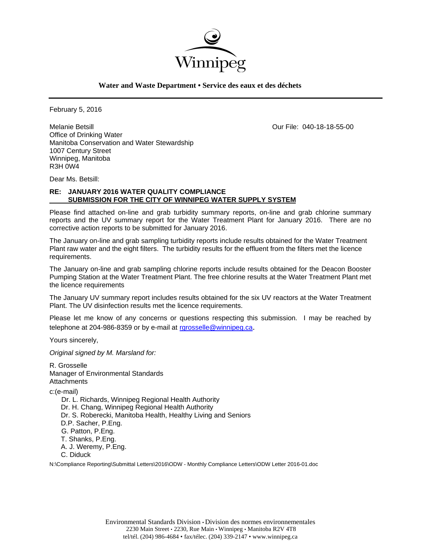

**Water and Waste Department • Service des eaux et des déchets**

February 5, 2016

Melanie Betsill Our File: 040-18-18-55-00 Office of Drinking Water Manitoba Conservation and Water Stewardship 1007 Century Street Winnipeg, Manitoba R3H 0W4

Dear Ms. Betsill:

## **RE: JANUARY 2016 WATER QUALITY COMPLIANCE SUBMISSION FOR THE CITY OF WINNIPEG WATER SUPPLY SYSTEM**

Please find attached on-line and grab turbidity summary reports, on-line and grab chlorine summary reports and the UV summary report for the Water Treatment Plant for January 2016. There are no corrective action reports to be submitted for January 2016.

The January on-line and grab sampling turbidity reports include results obtained for the Water Treatment Plant raw water and the eight filters. The turbidity results for the effluent from the filters met the licence requirements.

The January on-line and grab sampling chlorine reports include results obtained for the Deacon Booster Pumping Station at the Water Treatment Plant. The free chlorine results at the Water Treatment Plant met the licence requirements

The January UV summary report includes results obtained for the six UV reactors at the Water Treatment Plant. The UV disinfection results met the licence requirements.

Please let me know of any concerns or questions respecting this submission. I may be reached by telephone at 204-986-8359 or by e-mail at rgrosselle@winnipeg.ca.

Yours sincerely,

*Original signed by M. Marsland for:* 

R. Grosselle Manager of Environmental Standards **Attachments** c:(e-mail) Dr. L. Richards, Winnipeg Regional Health Authority Dr. H. Chang, Winnipeg Regional Health Authority Dr. S. Roberecki, Manitoba Health, Healthy Living and Seniors D.P. Sacher, P.Eng. G. Patton, P.Eng. T. Shanks, P.Eng. A. J. Weremy, P.Eng. C. Diduck N:\Compliance Reporting\Submittal Letters\2016\ODW - Monthly Compliance Letters\ODW Letter 2016-01.doc

> Environmental Standards Division • Division des normes environnementales 2230 Main Street • 2230, Rue Main • Winnipeg • Manitoba R2V 4T8 tel/tél. (204) 986-4684 • fax/télec. (204) 339-2147 • www.winnipeg.ca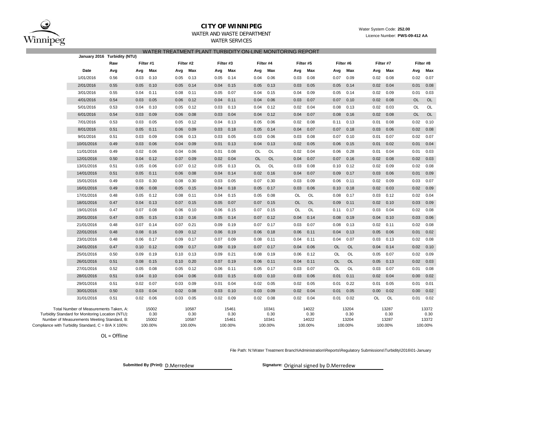

### **CITY OF WINNIPEG**WATER AND WASTE DEPARTMENT

 Water System Code: **252.00** Licence Number: **PWS-09-412 AA**

### WATER SERVICES WATER TREATMENT PLANT TURBIDITY ON-LINE MONITORING REPORT

|                                                     | January 2016 Turbidity (NTU)                                                                |      |      |               |       |               |      |               |           |               |           |               |           |               |      |               |           |               |
|-----------------------------------------------------|---------------------------------------------------------------------------------------------|------|------|---------------|-------|---------------|------|---------------|-----------|---------------|-----------|---------------|-----------|---------------|------|---------------|-----------|---------------|
|                                                     |                                                                                             | Raw  |      | Filter #1     |       | Filter #2     |      | Filter #3     |           | Filter #4     | Filter #5 |               | Filter #6 | Filter #7     |      | Filter #8     |           |               |
|                                                     | Date                                                                                        | Avg  | Avg  | Max           | Avg   | Max           | Avg  | Max           | Avg       | Max           | Avg       | Max           | Avg       | Max           | Avg  | Max           | Avg       | Max           |
|                                                     | 1/01/2016                                                                                   | 0.56 | 0.03 | 0.10          | 0.05  | 0.13          | 0.05 | 0.14          | 0.04      | 0.06          | 0.03      | 0.08          | 0.07      | 0.09          | 0.02 | 0.08          | 0.02      | 0.07          |
|                                                     | 2/01/2016                                                                                   | 0.55 | 0.05 | 0.10          | 0.05  | 0.14          | 0.04 | 0.15          | 0.05      | 0.13          | 0.03      | 0.05          | 0.05      | 0.14          | 0.02 | 0.04          | 0.01      | 0.08          |
|                                                     | 3/01/2016                                                                                   | 0.55 | 0.04 | 0.11          | 0.08  | 0.11          | 0.05 | 0.07          | 0.04      | 0.15          | 0.04      | 0.09          | 0.05      | 0.14          | 0.02 | 0.09          | 0.01      | 0.03          |
|                                                     | 4/01/2016                                                                                   | 0.54 | 0.03 | 0.05          | 0.06  | 0.12          | 0.04 | 0.11          | 0.04      | 0.06          | 0.03      | 0.07          | 0.07      | 0.10          | 0.02 | 0.08          | <b>OL</b> | <b>OL</b>     |
|                                                     | 5/01/2016                                                                                   | 0.53 | 0.04 | 0.10          | 0.05  | 0.12          | 0.03 | 0.13          | 0.04      | 0.12          | 0.02      | 0.04          | 0.08      | 0.13          | 0.02 | 0.03          | OL        | OL            |
|                                                     | 6/01/2016                                                                                   | 0.54 | 0.03 | 0.09          | 0.06  | 0.08          | 0.03 | 0.04          | 0.04      | 0.12          | 0.04      | 0.07          | 0.08      | 0.16          | 0.02 | 0.08          | <b>OL</b> | <b>OL</b>     |
|                                                     | 7/01/2016                                                                                   | 0.53 | 0.03 | 0.05          | 0.05  | 0.12          | 0.04 | 0.13          | 0.05      | 0.06          | 0.02      | 0.08          | 0.11      | 0.13          | 0.01 | 0.08          | 0.02      | 0.10          |
|                                                     | 8/01/2016                                                                                   | 0.51 | 0.05 | 0.11          | 0.06  | 0.09          | 0.03 | 0.18          | 0.05      | 0.14          | 0.04      | 0.07          | 0.07      | 0.18          | 0.03 | 0.06          | 0.02      | 0.08          |
|                                                     | 9/01/2016                                                                                   | 0.51 | 0.03 | 0.09          | 0.06  | 0.13          | 0.03 | 0.05          | 0.03      | 0.06          | 0.03      | 0.08          | 0.07      | 0.10          | 0.01 | 0.07          | 0.02      | 0.07          |
|                                                     | 10/01/2016                                                                                  | 0.49 | 0.03 | 0.06          | 0.04  | 0.09          | 0.01 | 0.13          | 0.04      | 0.13          | 0.02      | 0.05          | 0.06      | 0.15          | 0.01 | 0.02          | 0.01      | 0.04          |
|                                                     | 11/01/2016                                                                                  | 0.49 | 0.02 | 0.06          | 0.04  | 0.06          | 0.01 | 0.08          | OL        | OL            | 0.02      | 0.04          | 0.06      | 0.28          | 0.01 | 0.04          | 0.01      | 0.03          |
|                                                     | 12/01/2016                                                                                  | 0.50 | 0.04 | 0.12          | 0.07  | 0.09          | 0.02 | 0.04          | <b>OL</b> | OL            | 0.04      | 0.07          | 0.07      | 0.16          | 0.02 | 0.08          | 0.02      | 0.03          |
|                                                     | 13/01/2016                                                                                  | 0.51 | 0.05 | 0.06          | 0.07  | 0.12          | 0.05 | 0.13          | OL        | OL            | 0.03      | 0.08          | 0.10      | 0.12          | 0.02 | 0.09          | 0.02      | 0.08          |
|                                                     | 14/01/2016                                                                                  | 0.51 | 0.05 | 0.11          | 0.06  | 0.08          | 0.04 | 0.14          | 0.02      | 0.16          | 0.04      | 0.07          | 0.09      | 0.17          | 0.03 | 0.06          | 0.01      | 0.09          |
|                                                     | 15/01/2016                                                                                  | 0.49 | 0.03 | 0.30          | 0.08  | 0.30          | 0.03 | 0.05          | 0.07      | 0.30          | 0.03      | 0.09          | 0.06      | 0.11          | 0.02 | 0.09          | 0.03      | 0.07          |
|                                                     | 16/01/2016                                                                                  | 0.49 | 0.06 | 0.08          | 0.05  | 0.15          | 0.04 | 0.18          | 0.05      | 0.17          | 0.03      | 0.06          | 0.10      | 0.18          | 0.02 | 0.03          | 0.02      | 0.09          |
|                                                     | 17/01/2016                                                                                  | 0.48 | 0.05 | 0.12          | 0.08  | 0.11          | 0.04 | 0.15          | 0.05      | 0.08          | <b>OL</b> | OL            | 0.08      | 0.17          | 0.03 | 0.12          | 0.02      | 0.04          |
|                                                     | 18/01/2016                                                                                  | 0.47 | 0.04 | 0.13          | 0.07  | 0.15          | 0.05 | 0.07          | 0.07      | 0.15          | <b>OL</b> | <b>OL</b>     | 0.09      | 0.11          | 0.02 | 0.10          | 0.03      | 0.09          |
|                                                     | 19/01/2016                                                                                  | 0.47 | 0.07 | 0.08          | 0.06  | 0.10          | 0.06 | 0.15          | 0.07      | 0.15          | <b>OL</b> | OL            | 0.11      | 0.17          | 0.03 | 0.04          | 0.02      | 0.08          |
|                                                     | 20/01/2016                                                                                  | 0.47 | 0.05 | 0.15          | 0.10  | 0.16          | 0.05 | 0.14          | 0.07      | 0.12          | 0.04      | 0.14          | 0.08      | 0.19          | 0.04 | 0.10          | 0.03      | 0.06          |
|                                                     | 21/01/2016                                                                                  | 0.48 | 0.07 | 0.14          | 0.07  | 0.21          | 0.09 | 0.19          | 0.07      | 0.17          | 0.03      | 0.07          | 0.08      | 0.13          | 0.02 | 0.11          | 0.02      | 0.08          |
|                                                     | 22/01/2016                                                                                  | 0.48 | 0.08 | 0.16          | 0.09  | 0.12          | 0.06 | 0.19          | 0.06      | 0.18          | 0.06      | 0.11          | 0.04      | 0.13          | 0.05 | 0.06          | 0.01      | 0.02          |
|                                                     | 23/01/2016                                                                                  | 0.48 | 0.06 | 0.17          | 0.09  | 0.17          | 0.07 | 0.09          | 0.08      | 0.11          | 0.04      | 0.11          | 0.04      | 0.07          | 0.03 | 0.13          | 0.02      | 0.08          |
|                                                     | 24/01/2016                                                                                  | 0.47 | 0.10 | 0.12          | 0.09  | 0.17          | 0.09 | 0.19          | 0.07      | 0.17          | 0.04      | 0.06          | OL        | OL            | 0.04 | 0.14          | 0.02      | 0.10          |
|                                                     | 25/01/2016                                                                                  | 0.50 | 0.09 | 0.19          | 0.10  | 0.13          | 0.09 | 0.21          | 0.08      | 0.19          | 0.06      | 0.12          | OL        | OL            | 0.05 | 0.07          | 0.02      | 0.09          |
|                                                     | 26/01/2016                                                                                  | 0.51 | 0.08 | 0.15          | 0.10  | 0.20          | 0.07 | 0.19          | 0.06      | 0.11          | 0.04      | 0.11          | OL        | OL            | 0.05 | 0.13          | 0.02      | 0.03          |
|                                                     | 27/01/2016                                                                                  | 0.52 | 0.05 | 0.08          | 0.05  | 0.12          | 0.06 | 0.11          | 0.05      | 0.17          | 0.03      | 0.07          | OL        | OL            | 0.03 | 0.07          | 0.01      | 0.08          |
|                                                     | 28/01/2016                                                                                  | 0.51 | 0.04 | 0.10          | 0.04  | 0.06          | 0.03 | 0.15          | 0.03      | 0.10          | 0.03      | 0.06          | 0.01      | 0.11          | 0.02 | 0.04          | 0.00      | 0.02          |
|                                                     | 29/01/2016                                                                                  | 0.51 | 0.02 | 0.07          | 0.03  | 0.09          | 0.01 | 0.04          | 0.02      | 0.05          | 0.02      | 0.05          | 0.01      | 0.22          | 0.01 | 0.05          | 0.01      | 0.01          |
|                                                     | 30/01/2016                                                                                  | 0.50 | 0.03 | 0.04          | 0.02  | 0.08          | 0.03 | 0.10          | 0.03      | 0.09          | 0.02      | 0.04          | 0.01      | 0.05          | 0.00 | 0.02          | 0.00      | 0.02          |
|                                                     | 31/01/2016                                                                                  | 0.51 | 0.02 | 0.06          | 0.03  | 0.05          | 0.02 | 0.09          | 0.02      | 0.08          | 0.02      | 0.04          | 0.01      | 0.02          | OL   | OL            | 0.01      | 0.02          |
|                                                     | Total Number of Measurements Taken, A:<br>Turbidity Standard for Monitoring Location (NTU): |      |      | 15002<br>0.30 |       | 10587<br>0.30 |      | 15461<br>0.30 |           | 10341<br>0.30 |           | 14022<br>0.30 |           | 13204<br>0.30 |      | 13287<br>0.30 |           | 13372<br>0.30 |
| Number of Measurements Meeting Standard, B:         |                                                                                             |      |      | 15002         | 10587 |               |      | 15461         |           | 10341         |           | 14022         |           | 13204         |      | 13287         |           | 13372         |
| Compliance with Turbidity Standard, C = B/A X 100%: |                                                                                             |      |      | 100.00%       |       | 100.00%       |      | 100.00%       |           | 100.00%       |           | 100.00%       |           | 100.00%       |      | 100.00%       |           | 100.00%       |

OL <sup>=</sup> Offline

#### File Path: N:\Water Treatment Branch\Administration\Reports\Regulatory Submissions\Turbidity\2016\01-January

Submitted By (Print): D.Merredew **Signature:** Original signed by D.Merredew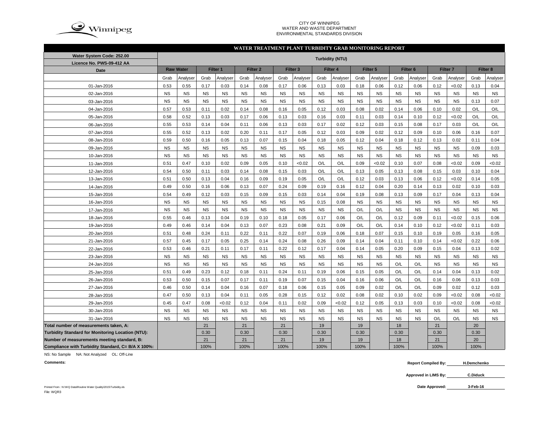

#### CITY OF WINNIPEG WATER AND WASTE DEPARTMENTENVIRONMENTAL STANDARDS DIVISION

#### **WATER TREATMENT PLANT TURBIDITY GRAB MONITORING REPORT**

| Water System Code: 252.00                          | <b>Turbidity (NTU)</b> |                  |           |           |           |                     |           |                     |           |                 |           |           |                     |           |                 |           |                 |           |
|----------------------------------------------------|------------------------|------------------|-----------|-----------|-----------|---------------------|-----------|---------------------|-----------|-----------------|-----------|-----------|---------------------|-----------|-----------------|-----------|-----------------|-----------|
| Licence No. PWS-09-412 AA                          |                        |                  |           |           |           |                     |           |                     |           |                 |           |           |                     |           |                 |           |                 |           |
| Date                                               |                        | <b>Raw Water</b> |           | Filter 1  |           | Filter <sub>2</sub> |           | Filter <sub>3</sub> |           | <b>Filter 4</b> |           | Filter 5  | Filter <sub>6</sub> |           | <b>Filter 7</b> |           | <b>Filter 8</b> |           |
|                                                    | Grab                   | Analyser         | Grab      | Analyser  | Grab      | Analyser            | Grab      | Analyser            | Grab      | Analyser        | Grab      | Analyser  | Grab                | Analyser  | Grab            | Analyser  | Grab            | Analyser  |
| 01-Jan-2016                                        | 0.53                   | 0.55             | 0.17      | 0.03      | 0.14      | 0.08                | 0.17      | 0.06                | 0.13      | 0.03            | 0.18      | 0.06      | 0.12                | 0.06      | 0.12            | <0.02     | 0.13            | 0.04      |
| 02-Jan-2016                                        | <b>NS</b>              | <b>NS</b>        | <b>NS</b> | <b>NS</b> | <b>NS</b> | <b>NS</b>           | <b>NS</b> | <b>NS</b>           | <b>NS</b> | <b>NS</b>       | <b>NS</b> | <b>NS</b> | <b>NS</b>           | <b>NS</b> | <b>NS</b>       | <b>NS</b> | <b>NS</b>       | <b>NS</b> |
| 03-Jan-2016                                        | <b>NS</b>              | <b>NS</b>        | <b>NS</b> | <b>NS</b> | <b>NS</b> | <b>NS</b>           | <b>NS</b> | <b>NS</b>           | <b>NS</b> | <b>NS</b>       | <b>NS</b> | <b>NS</b> | <b>NS</b>           | <b>NS</b> | <b>NS</b>       | <b>NS</b> | 0.13            | 0.07      |
| 04-Jan-2016                                        | 0.57                   | 0.53             | 0.11      | 0.02      | 0.14      | 0.08                | 0.16      | 0.05                | 0.12      | 0.03            | 0.08      | 0.02      | 0.14                | 0.06      | 0.10            | 0.02      | O/L             | O/L       |
| 05-Jan-2016                                        | 0.58                   | 0.52             | 0.13      | 0.03      | 0.17      | 0.06                | 0.13      | 0.03                | 0.16      | 0.03            | 0.11      | 0.03      | 0.14                | 0.10      | 0.12            | <0.02     | O/L             | O/L       |
| 06-Jan-2016                                        | 0.55                   | 0.53             | 0.14      | 0.04      | 0.11      | 0.06                | 0.13      | 0.03                | 0.17      | 0.02            | 0.12      | 0.03      | 0.15                | 0.08      | 0.17            | 0.03      | O/L             | O/L       |
| 07-Jan-2016                                        | 0.55                   | 0.52             | 0.13      | 0.02      | 0.20      | 0.11                | 0.17      | 0.05                | 0.12      | 0.03            | 0.09      | 0.02      | 0.12                | 0.09      | 0.10            | 0.06      | 0.16            | 0.07      |
| 08-Jan-2016                                        | 0.59                   | 0.50             | 0.16      | 0.05      | 0.13      | 0.07                | 0.15      | 0.04                | 0.18      | 0.05            | 0.12      | 0.04      | 0.18                | 0.12      | 0.13            | 0.02      | 0.11            | 0.04      |
| 09-Jan-2016                                        | <b>NS</b>              | <b>NS</b>        | <b>NS</b> | <b>NS</b> | <b>NS</b> | <b>NS</b>           | <b>NS</b> | <b>NS</b>           | <b>NS</b> | <b>NS</b>       | <b>NS</b> | <b>NS</b> | <b>NS</b>           | <b>NS</b> | <b>NS</b>       | <b>NS</b> | 0.09            | 0.03      |
| 10-Jan-2016                                        | <b>NS</b>              | <b>NS</b>        | <b>NS</b> | <b>NS</b> | <b>NS</b> | <b>NS</b>           | <b>NS</b> | <b>NS</b>           | <b>NS</b> | <b>NS</b>       | <b>NS</b> | <b>NS</b> | <b>NS</b>           | <b>NS</b> | <b>NS</b>       | <b>NS</b> | <b>NS</b>       | <b>NS</b> |
| 11-Jan-2016                                        | 0.51                   | 0.47             | 0.10      | 0.02      | 0.09      | 0.05                | 0.10      | < 0.02              | O/L       | O/L             | 0.09      | < 0.02    | 0.10                | 0.07      | 0.08            | <0.02     | 0.09            | <0.02     |
| 12-Jan-2016                                        | 0.54                   | 0.50             | 0.11      | 0.03      | 0.14      | 0.08                | 0.15      | 0.03                | O/L       | O/L             | 0.13      | 0.05      | 0.13                | 0.08      | 0.15            | 0.03      | 0.10            | 0.04      |
| 13-Jan-2016                                        | 0.51                   | 0.50             | 0.13      | 0.04      | 0.16      | 0.09                | 0.19      | 0.05                | O/L       | O/L             | 0.12      | 0.03      | 0.13                | 0.06      | 0.12            | <0.02     | 0.14            | 0.05      |
| 14-Jan-2016                                        | 0.49                   | 0.50             | 0.16      | 0.06      | 0.13      | 0.07                | 0.24      | 0.09                | 0.19      | 0.16            | 0.12      | 0.04      | 0.20                | 0.14      | 0.13            | 0.02      | 0.10            | 0.03      |
| 15-Jan-2016                                        | 0.54                   | 0.49             | 0.12      | 0.03      | 0.15      | 0.09                | 0.15      | 0.03                | 0.14      | 0.04            | 0.19      | 0.08      | 0.13                | 0.09      | 0.17            | 0.04      | 0.13            | 0.04      |
| 16-Jan-2016                                        | <b>NS</b>              | <b>NS</b>        | <b>NS</b> | <b>NS</b> | <b>NS</b> | <b>NS</b>           | <b>NS</b> | <b>NS</b>           | 0.15      | 0.08            | <b>NS</b> | <b>NS</b> | <b>NS</b>           | <b>NS</b> | <b>NS</b>       | <b>NS</b> | <b>NS</b>       | <b>NS</b> |
| 17-Jan-2016                                        | <b>NS</b>              | <b>NS</b>        | <b>NS</b> | <b>NS</b> | <b>NS</b> | <b>NS</b>           | <b>NS</b> | <b>NS</b>           | <b>NS</b> | <b>NS</b>       | O/L       | O/L       | <b>NS</b>           | <b>NS</b> | <b>NS</b>       | <b>NS</b> | <b>NS</b>       | <b>NS</b> |
| 18-Jan-2016                                        | 0.55                   | 0.46             | 0.13      | 0.04      | 0.19      | 0.10                | 0.18      | 0.05                | 0.17      | 0.06            | O/L       | O/L       | 0.12                | 0.09      | 0.11            | <0.02     | 0.15            | 0.06      |
| 19-Jan-2016                                        | 0.49                   | 0.46             | 0.14      | 0.04      | 0.13      | 0.07                | 0.23      | 0.08                | 0.21      | 0.09            | O/L       | O/L       | 0.14                | 0.10      | 0.12            | <0.02     | 0.11            | 0.03      |
| 20-Jan-2016                                        | 0.51                   | 0.48             | 0.24      | 0.11      | 0.22      | 0.11                | 0.22      | 0.07                | 0.19      | 0.06            | 0.18      | 0.07      | 0.15                | 0.10      | 0.19            | 0.05      | 0.16            | 0.05      |
| 21-Jan-2016                                        | 0.57                   | 0.45             | 0.17      | 0.05      | 0.25      | 0.14                | 0.24      | 0.08                | 0.26      | 0.09            | 0.14      | 0.04      | 0.11                | 0.10      | 0.14            | <0.02     | 0.22            | 0.06      |
| 22-Jan-2016                                        | 0.53                   | 0.46             | 0.21      | 0.11      | 0.17      | 0.11                | 0.22      | 0.12                | 0.17      | 0.04            | 0.14      | 0.05      | 0.20                | 0.09      | 0.15            | 0.04      | 0.13            | 0.02      |
| 23-Jan-2016                                        | <b>NS</b>              | <b>NS</b>        | <b>NS</b> | <b>NS</b> | <b>NS</b> | <b>NS</b>           | <b>NS</b> | <b>NS</b>           | <b>NS</b> | <b>NS</b>       | <b>NS</b> | <b>NS</b> | <b>NS</b>           | <b>NS</b> | <b>NS</b>       | <b>NS</b> | <b>NS</b>       | <b>NS</b> |
| 24-Jan-2016                                        | <b>NS</b>              | <b>NS</b>        | <b>NS</b> | <b>NS</b> | <b>NS</b> | <b>NS</b>           | <b>NS</b> | <b>NS</b>           | <b>NS</b> | <b>NS</b>       | <b>NS</b> | <b>NS</b> | O/L                 | O/L       | <b>NS</b>       | <b>NS</b> | <b>NS</b>       | <b>NS</b> |
| 25-Jan-2016                                        | 0.51                   | 0.49             | 0.23      | 0.12      | 0.18      | 0.11                | 0.24      | 0.11                | 0.19      | 0.06            | 0.15      | 0.05      | O/L                 | O/L       | 0.14            | 0.04      | 0.13            | 0.02      |
| 26-Jan-2016                                        | 0.53                   | 0.50             | 0.15      | 0.07      | 0.17      | 0.11                | 0.19      | 0.07                | 0.15      | 0.04            | 0.16      | 0.06      | O/L                 | O/L       | 0.16            | 0.06      | 0.13            | 0.03      |
| 27-Jan-2016                                        | 0.46                   | 0.50             | 0.14      | 0.04      | 0.16      | 0.07                | 0.18      | 0.06                | 0.15      | 0.05            | 0.09      | 0.02      | O/L                 | O/L       | 0.09            | 0.02      | 0.12            | 0.03      |
| 28-Jan-2016                                        | 0.47                   | 0.50             | 0.13      | 0.04      | 0.11      | 0.05                | 0.28      | 0.15                | 0.12      | 0.02            | 0.08      | 0.02      | 0.10                | 0.02      | 0.09            | < 0.02    | 0.08            | <0.02     |
| 29-Jan-2016                                        | 0.45                   | 0.47             | 0.08      | < 0.02    | 0.12      | 0.04                | 0.11      | 0.02                | 0.09      | <0.02           | 0.12      | 0.05      | 0.13                | 0.03      | 0.10            | <0.02     | 0.08            | <0.02     |
| 30-Jan-2016                                        | <b>NS</b>              | <b>NS</b>        | <b>NS</b> | <b>NS</b> | <b>NS</b> | <b>NS</b>           | <b>NS</b> | <b>NS</b>           | <b>NS</b> | <b>NS</b>       | <b>NS</b> | <b>NS</b> | <b>NS</b>           | <b>NS</b> | <b>NS</b>       | <b>NS</b> | <b>NS</b>       | <b>NS</b> |
| 31-Jan-2016                                        | <b>NS</b>              | <b>NS</b>        | <b>NS</b> | <b>NS</b> | <b>NS</b> | <b>NS</b>           | <b>NS</b> | <b>NS</b>           | <b>NS</b> | <b>NS</b>       | <b>NS</b> | <b>NS</b> | <b>NS</b>           | <b>NS</b> | O/L             | O/L       | <b>NS</b>       | <b>NS</b> |
| Total number of measurements taken, A:             |                        |                  | 21        |           | 21        |                     | 21        |                     | 19        |                 | 19        |           | 18                  |           | 21              |           | 20              |           |
| Turbidity Standard for Monitoring Location (NTU):  |                        |                  | 0.30      |           | 0.30      |                     | 0.30      |                     | 0.30      |                 | 0.30      |           | 0.30                |           | 0.30            |           | 0.30            |           |
| Number of measurements meeting standard, B:        |                        |                  | 21        |           | 21        |                     | 21        |                     | 19        |                 | 19        |           | 18                  |           | 21              |           | 20              |           |
| Compliance with Turbidity Standard, C= B/A X 100%: |                        |                  | 100%      |           | 100%      |                     | 100%      |                     | 100%      |                 | 100%      |           | 100%                |           | 100%            |           | 100%            |           |

NS: No Sample NA: Not Analyzed OL: Off-Line

**Comments:**

 **Report Compiled By: H.Demchenko**

**Approved in LIMS By: C.Diduck**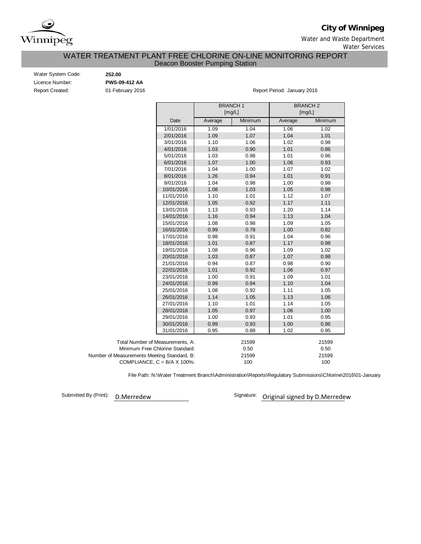

**City of Winnipeg**

Water and Waste Department

Water Services

# Deacon Booster Pumping Station WATER TREATMENT PLANT FREE CHLORINE ON-LINE MONITORING REPORT

| Water System Code:     |  |
|------------------------|--|
| Licence Number:        |  |
| <b>Report Created:</b> |  |

Water System Code: **252.00** Licence Number: **PWS-09-412 AA**

01 February 2016 **Report Period: January 2016** Report Period: January 2016

|                                             |         | <b>BRANCH1</b><br>[mg/L] | <b>BRANCH 2</b><br>[mg/L] |         |  |  |  |  |
|---------------------------------------------|---------|--------------------------|---------------------------|---------|--|--|--|--|
| Date                                        | Average | Minimum                  | Average                   | Minimum |  |  |  |  |
| 1/01/2016                                   | 1.09    | 1.04                     | 1.06                      | 1.02    |  |  |  |  |
| 2/01/2016                                   | 1.09    | 1.07                     | 1.04                      | 1.01    |  |  |  |  |
| 3/01/2016                                   | 1.10    | 1.06                     | 1.02                      | 0.98    |  |  |  |  |
| 4/01/2016                                   | 1.03    | 0.90                     | 1.01                      | 0.86    |  |  |  |  |
| 5/01/2016                                   | 1.03    | 0.98                     | 1.01                      | 0.96    |  |  |  |  |
| 6/01/2016                                   | 1.07    | 1.00                     | 1.06                      | 0.93    |  |  |  |  |
| 7/01/2016                                   | 1.04    | 1.00                     | 1.07                      | 1.02    |  |  |  |  |
| 8/01/2016                                   | 1.26    | 0.94                     | 1.01                      | 0.91    |  |  |  |  |
| 9/01/2016                                   | 1.04    | 0.98                     | 1.00                      | 0.98    |  |  |  |  |
| 10/01/2016                                  | 1.08    | 1.03                     | 1.05                      | 0.98    |  |  |  |  |
| 11/01/2016                                  | 1.10    | 1.01                     | 1.12                      | 1.07    |  |  |  |  |
| 12/01/2016                                  | 1.05    | 0.92                     | 1.17                      | 1.11    |  |  |  |  |
| 13/01/2016                                  | 1.13    | 0.93                     | 1.20                      | 1.14    |  |  |  |  |
| 14/01/2016                                  | 1.16    | 0.94                     | 1.13                      | 1.04    |  |  |  |  |
| 15/01/2016                                  | 1.08    | 0.98                     | 1.09                      | 1.05    |  |  |  |  |
| 16/01/2016                                  | 0.99    | 0.78                     | 1.00                      | 0.82    |  |  |  |  |
| 17/01/2016                                  | 0.98    | 0.91                     | 1.04                      | 0.96    |  |  |  |  |
| 18/01/2016                                  | 1.01    | 0.87                     | 1.17                      | 0.98    |  |  |  |  |
| 19/01/2016                                  | 1.08    | 0.96                     | 1.09                      | 1.02    |  |  |  |  |
| 20/01/2016                                  | 1.03    | 0.87                     | 1.07                      | 0.98    |  |  |  |  |
| 21/01/2016                                  | 0.94    | 0.87                     | 0.98                      | 0.90    |  |  |  |  |
| 22/01/2016                                  | 1.01    | 0.92                     | 1.06                      | 0.97    |  |  |  |  |
| 23/01/2016                                  | 1.00    | 0.91                     | 1.09                      | 1.01    |  |  |  |  |
| 24/01/2016                                  | 0.99    | 0.94                     | 1.10                      | 1.04    |  |  |  |  |
| 25/01/2016                                  | 1.08    | 0.92                     | 1.11                      | 1.05    |  |  |  |  |
| 26/01/2016                                  | 1.14    | 1.05                     | 1.13                      | 1.06    |  |  |  |  |
| 27/01/2016                                  | 1.10    | 1.01                     | 1.14                      | 1.05    |  |  |  |  |
| 28/01/2016                                  | 1.05    | 0.97                     | 1.06                      | 1.00    |  |  |  |  |
| 29/01/2016                                  | 1.00    | 0.93                     | 1.01                      | 0.95    |  |  |  |  |
| 30/01/2016                                  | 0.99    | 0.93                     | 1.00                      | 0.96    |  |  |  |  |
| 31/01/2016                                  | 0.95    | 0.88                     | 1.02                      | 0.95    |  |  |  |  |
| Total Number of Measurements, A:            |         | 21599                    |                           | 21599   |  |  |  |  |
| Minimum Free Chlorine Standard:             |         | 0.50                     |                           | 0.50    |  |  |  |  |
| Number of Measurements Meeting Standard, B: |         | 21599                    |                           | 21599   |  |  |  |  |
| COMPLIANCE, $C = B/A \times 100\%$ :        |         | 100                      |                           | 100     |  |  |  |  |

File Path: N:\Water Treatment Branch\Administration\Reports\Regulatory Submissions\Chlorine\2016\01-January

Submitted By (Print):

D.Merredew **D.Merredew** Signature: Original signed by D.Merredew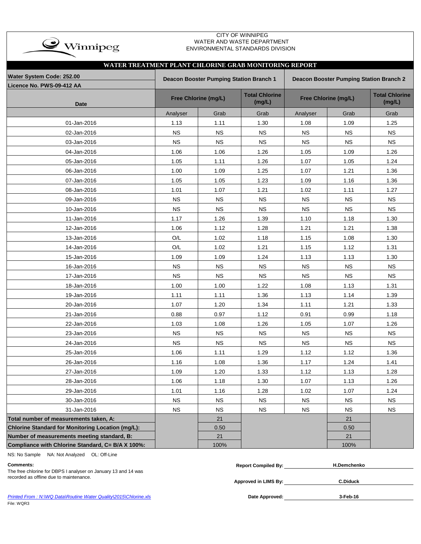| $\rightarrow$ Winnipeg |
|------------------------|
|                        |

### CITY OF WINNIPEG WATER AND WASTE DEPARTMENT ENVIRONMENTAL STANDARDS DIVISION

|                                                   | WATER TREATMENT PLANT CHLORINE GRAB MONITORING REPORT |                                                                                           |                                 |                      |                                 |           |  |  |  |  |  |  |  |  |
|---------------------------------------------------|-------------------------------------------------------|-------------------------------------------------------------------------------------------|---------------------------------|----------------------|---------------------------------|-----------|--|--|--|--|--|--|--|--|
| Water System Code: 252.00                         |                                                       | <b>Deacon Booster Pumping Station Branch 1</b><br>Deacon Booster Pumping Station Branch 2 |                                 |                      |                                 |           |  |  |  |  |  |  |  |  |
| Licence No. PWS-09-412 AA                         |                                                       |                                                                                           |                                 |                      |                                 |           |  |  |  |  |  |  |  |  |
| <b>Date</b>                                       |                                                       | Free Chlorine (mg/L)                                                                      | <b>Total Chlorine</b><br>(mg/L) | Free Chlorine (mg/L) | <b>Total Chlorine</b><br>(mg/L) |           |  |  |  |  |  |  |  |  |
|                                                   | Analyser                                              | Grab                                                                                      | Grab                            | Analyser             | Grab                            | Grab      |  |  |  |  |  |  |  |  |
| 01-Jan-2016                                       | 1.13                                                  | 1.11                                                                                      | 1.30                            | 1.08                 | 1.09                            | 1.25      |  |  |  |  |  |  |  |  |
| 02-Jan-2016                                       | <b>NS</b>                                             | <b>NS</b>                                                                                 | <b>NS</b>                       | <b>NS</b>            | <b>NS</b>                       | <b>NS</b> |  |  |  |  |  |  |  |  |
| 03-Jan-2016                                       | <b>NS</b>                                             | <b>NS</b>                                                                                 | <b>NS</b>                       | <b>NS</b>            | <b>NS</b>                       | <b>NS</b> |  |  |  |  |  |  |  |  |
| 04-Jan-2016                                       | 1.06                                                  | 1.06                                                                                      | 1.26                            | 1.05                 | 1.09                            | 1.26      |  |  |  |  |  |  |  |  |
| 05-Jan-2016                                       | 1.05                                                  | 1.11                                                                                      | 1.26                            | 1.07                 | 1.05                            | 1.24      |  |  |  |  |  |  |  |  |
| 06-Jan-2016                                       | 1.00                                                  | 1.09                                                                                      | 1.25                            | 1.07                 | 1.21                            | 1.36      |  |  |  |  |  |  |  |  |
| 07-Jan-2016                                       | 1.05                                                  | 1.05                                                                                      | 1.23                            | 1.09                 | 1.16                            | 1.36      |  |  |  |  |  |  |  |  |
| 08-Jan-2016                                       | 1.01                                                  | 1.07                                                                                      | 1.21                            | 1.02                 | 1.11                            | 1.27      |  |  |  |  |  |  |  |  |
| 09-Jan-2016                                       | <b>NS</b>                                             | <b>NS</b>                                                                                 | <b>NS</b>                       | <b>NS</b>            | <b>NS</b>                       | <b>NS</b> |  |  |  |  |  |  |  |  |
| 10-Jan-2016                                       | <b>NS</b>                                             | <b>NS</b>                                                                                 | <b>NS</b>                       | <b>NS</b>            | <b>NS</b>                       | <b>NS</b> |  |  |  |  |  |  |  |  |
| 11-Jan-2016                                       | 1.17                                                  | 1.26                                                                                      | 1.39                            | 1.10                 | 1.18                            | 1.30      |  |  |  |  |  |  |  |  |
| 12-Jan-2016                                       | 1.06                                                  | 1.12                                                                                      | 1.28                            | 1.21                 | 1.21                            | 1.38      |  |  |  |  |  |  |  |  |
| 13-Jan-2016                                       | O/L                                                   | 1.02                                                                                      | 1.18                            | 1.15                 | 1.08                            | 1.30      |  |  |  |  |  |  |  |  |
| 14-Jan-2016                                       | O/L                                                   | 1.02                                                                                      | 1.21                            | 1.15                 | 1.12                            | 1.31      |  |  |  |  |  |  |  |  |
| 15-Jan-2016                                       | 1.09                                                  | 1.09                                                                                      | 1.24                            | 1.13                 | 1.13                            | 1.30      |  |  |  |  |  |  |  |  |
| 16-Jan-2016                                       | <b>NS</b>                                             | <b>NS</b>                                                                                 | <b>NS</b>                       | <b>NS</b>            | <b>NS</b>                       | <b>NS</b> |  |  |  |  |  |  |  |  |
| 17-Jan-2016                                       | <b>NS</b>                                             | <b>NS</b>                                                                                 | <b>NS</b>                       | <b>NS</b>            | <b>NS</b>                       | <b>NS</b> |  |  |  |  |  |  |  |  |
| 18-Jan-2016                                       | 1.00                                                  | 1.00                                                                                      | 1.22                            | 1.08                 | 1.13                            | 1.31      |  |  |  |  |  |  |  |  |
| 19-Jan-2016                                       | 1.11                                                  | 1.11                                                                                      | 1.36                            | 1.13                 | 1.14                            | 1.39      |  |  |  |  |  |  |  |  |
| 20-Jan-2016                                       | 1.07                                                  | 1.20                                                                                      | 1.34                            | 1.11                 | 1.21                            | 1.33      |  |  |  |  |  |  |  |  |
| 21-Jan-2016                                       | 0.88                                                  | 0.97                                                                                      | 1.12                            | 0.91                 | 0.99                            | 1.18      |  |  |  |  |  |  |  |  |
| 22-Jan-2016                                       | 1.03                                                  | 1.08                                                                                      | 1.26                            | 1.05                 | 1.07                            | 1.26      |  |  |  |  |  |  |  |  |
| 23-Jan-2016                                       | <b>NS</b>                                             | <b>NS</b>                                                                                 | <b>NS</b>                       | <b>NS</b>            | <b>NS</b>                       | NS        |  |  |  |  |  |  |  |  |
| 24-Jan-2016                                       | <b>NS</b>                                             | <b>NS</b>                                                                                 | <b>NS</b>                       | <b>NS</b>            | <b>NS</b>                       | <b>NS</b> |  |  |  |  |  |  |  |  |
| 25-Jan-2016                                       | 1.06                                                  | 1.11                                                                                      | 1.29                            | 1.12                 | 1.12                            | 1.36      |  |  |  |  |  |  |  |  |
| 26-Jan-2016                                       | 1.16                                                  | 1.08                                                                                      | 1.36                            | 1.17                 | 1.24                            | 1.41      |  |  |  |  |  |  |  |  |
| 27-Jan-2016                                       | 1.09                                                  | 1.20                                                                                      | 1.33                            | 1.12                 | 1.13                            | 1.28      |  |  |  |  |  |  |  |  |
| 28-Jan-2016                                       | 1.06                                                  | 1.18                                                                                      | 1.30                            | 1.07                 | 1.13                            | 1.26      |  |  |  |  |  |  |  |  |
| 29-Jan-2016                                       | 1.01                                                  | 1.16                                                                                      | 1.28                            | 1.02                 | 1.07                            | 1.24      |  |  |  |  |  |  |  |  |
| 30-Jan-2016                                       | $_{\rm NS}$                                           | NS                                                                                        | ${\sf NS}$                      | ${\sf NS}$           | <b>NS</b>                       | <b>NS</b> |  |  |  |  |  |  |  |  |
| 31-Jan-2016                                       | NS                                                    | <b>NS</b>                                                                                 | <b>NS</b>                       | NS                   | $_{\rm NS}$                     | <b>NS</b> |  |  |  |  |  |  |  |  |
| Total number of measurements taken, A:            |                                                       | 21                                                                                        |                                 |                      | 21                              |           |  |  |  |  |  |  |  |  |
| Chlorine Standard for Monitoring Location (mg/L): |                                                       | 0.50                                                                                      |                                 |                      | 0.50                            |           |  |  |  |  |  |  |  |  |
| Number of measurements meeting standard, B:       |                                                       | 21                                                                                        |                                 |                      | 21                              |           |  |  |  |  |  |  |  |  |
| Compliance with Chlorine Standard, C= B/A X 100%: |                                                       | 100%                                                                                      |                                 |                      | 100%                            |           |  |  |  |  |  |  |  |  |

NS: No Sample NA: Not Analyzed OL: Off-Line

The free chlorine for DBPS I analyser on January 13 and 14 was recorded as offline due to maintenance.

| ∴om<br>.nment• | …omniled Bv<br>Renort | mchenko |
|----------------|-----------------------|---------|
| -----<br>.     |                       |         |

**Approved in LIMS By:**

**C.Diduck**

*Printed From : N:\WQ Data\Routine Water Quality\2015\Chlorine.xls* **Date Approved:** File: WQR3

**3-Feb-16**